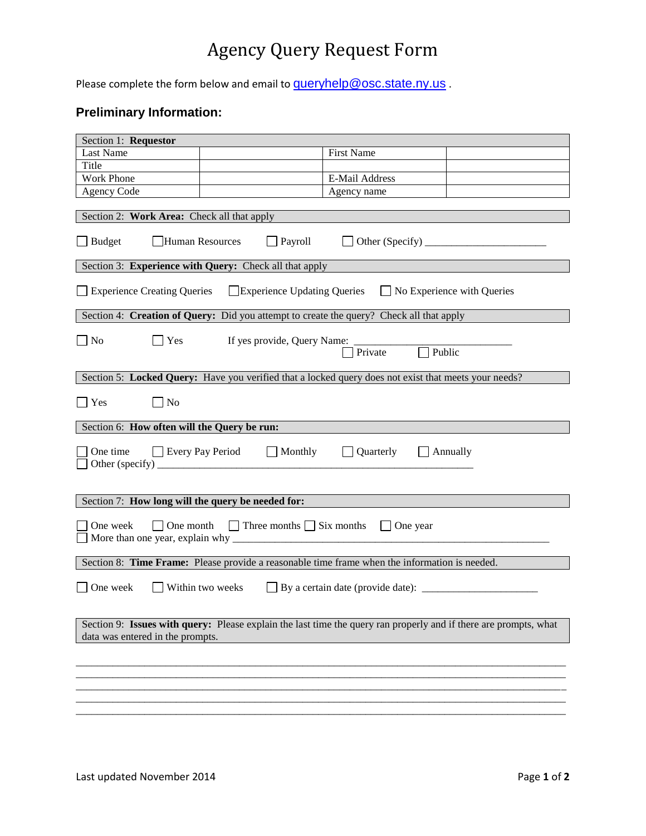## Agency Query Request Form

Please complete the form below and email to **[queryhelp@osc.state.ny.us](mailto:queryhelp@osc.state.ny.us)**.

## **Preliminary Information:**

| Section 1: Requestor                                                                                                                                                                                                                                                                                                                                                                                                                                                         |  |                   |  |
|------------------------------------------------------------------------------------------------------------------------------------------------------------------------------------------------------------------------------------------------------------------------------------------------------------------------------------------------------------------------------------------------------------------------------------------------------------------------------|--|-------------------|--|
| Last Name                                                                                                                                                                                                                                                                                                                                                                                                                                                                    |  | <b>First Name</b> |  |
| Title                                                                                                                                                                                                                                                                                                                                                                                                                                                                        |  |                   |  |
| <b>Work Phone</b>                                                                                                                                                                                                                                                                                                                                                                                                                                                            |  | E-Mail Address    |  |
| <b>Agency Code</b>                                                                                                                                                                                                                                                                                                                                                                                                                                                           |  | Agency name       |  |
| Section 2: Work Area: Check all that apply                                                                                                                                                                                                                                                                                                                                                                                                                                   |  |                   |  |
| Human Resources<br>$\Box$ Payroll<br>$\Box$ Other (Specify) $\Box$<br>$\Box$ Budget                                                                                                                                                                                                                                                                                                                                                                                          |  |                   |  |
| Section 3: Experience with Query: Check all that apply                                                                                                                                                                                                                                                                                                                                                                                                                       |  |                   |  |
| <b>Experience Creating Queries</b><br>Experience Updating Queries<br>$\Box$ No Experience with Queries                                                                                                                                                                                                                                                                                                                                                                       |  |                   |  |
| Section 4: Creation of Query: Did you attempt to create the query? Check all that apply                                                                                                                                                                                                                                                                                                                                                                                      |  |                   |  |
| Yes<br>No<br>Public<br>Private                                                                                                                                                                                                                                                                                                                                                                                                                                               |  |                   |  |
| Section 5: Locked Query: Have you verified that a locked query does not exist that meets your needs?                                                                                                                                                                                                                                                                                                                                                                         |  |                   |  |
| Yes<br>No                                                                                                                                                                                                                                                                                                                                                                                                                                                                    |  |                   |  |
| Section 6: How often will the Query be run:                                                                                                                                                                                                                                                                                                                                                                                                                                  |  |                   |  |
| One time<br>Every Pay Period Monthly<br>Quarterly<br>$\Box$ Annually<br>Other (specify) $\frac{1}{\sqrt{1-\frac{1}{2}}\sqrt{1-\frac{1}{2}}\sqrt{1-\frac{1}{2}}\sqrt{1-\frac{1}{2}}\sqrt{1-\frac{1}{2}}\sqrt{1-\frac{1}{2}}\sqrt{1-\frac{1}{2}}\sqrt{1-\frac{1}{2}}\sqrt{1-\frac{1}{2}}\sqrt{1-\frac{1}{2}}\sqrt{1-\frac{1}{2}}\sqrt{1-\frac{1}{2}}\sqrt{1-\frac{1}{2}}\sqrt{1-\frac{1}{2}}\sqrt{1-\frac{1}{2}}\sqrt{1-\frac{1}{2}}\sqrt{1-\frac{1}{2}}\sqrt{1-\frac{1}{2}}\$ |  |                   |  |
| Section 7: How long will the query be needed for:                                                                                                                                                                                                                                                                                                                                                                                                                            |  |                   |  |
| $\Box$ Three months $\Box$ Six months<br>One week<br>One month<br>$\Box$ One year                                                                                                                                                                                                                                                                                                                                                                                            |  |                   |  |
| Section 8: Time Frame: Please provide a reasonable time frame when the information is needed.                                                                                                                                                                                                                                                                                                                                                                                |  |                   |  |
| One week<br>Within two weeks $\Box$ By a certain date (provide date): $\Box$                                                                                                                                                                                                                                                                                                                                                                                                 |  |                   |  |
| Section 9: Issues with query: Please explain the last time the query ran properly and if there are prompts, what<br>data was entered in the prompts.                                                                                                                                                                                                                                                                                                                         |  |                   |  |
|                                                                                                                                                                                                                                                                                                                                                                                                                                                                              |  |                   |  |
|                                                                                                                                                                                                                                                                                                                                                                                                                                                                              |  |                   |  |
|                                                                                                                                                                                                                                                                                                                                                                                                                                                                              |  |                   |  |
|                                                                                                                                                                                                                                                                                                                                                                                                                                                                              |  |                   |  |
|                                                                                                                                                                                                                                                                                                                                                                                                                                                                              |  |                   |  |
|                                                                                                                                                                                                                                                                                                                                                                                                                                                                              |  |                   |  |